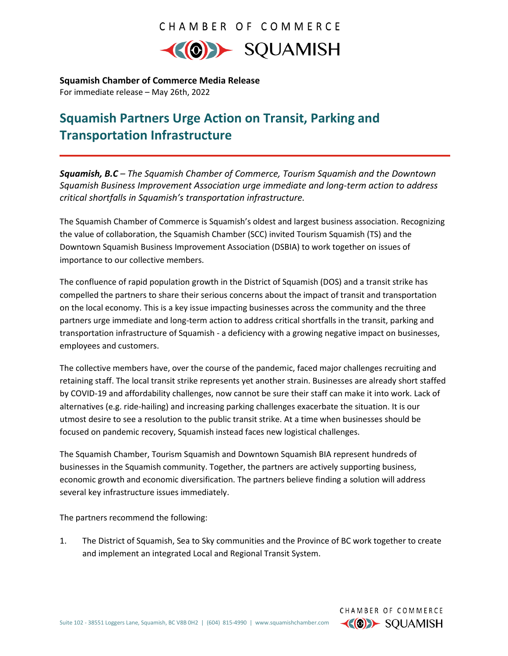## CHAMBER OF COMMERCE



**Squamish Chamber of Commerce Media Release** For immediate release – May 26th, 2022

# **Squamish Partners Urge Action on Transit, Parking and Transportation Infrastructure**

*Squamish, B.C – The Squamish Chamber of Commerce, Tourism Squamish and the Downtown Squamish Business Improvement Association urge immediate and long-term action to address critical shortfalls in Squamish's transportation infrastructure.* 

The Squamish Chamber of Commerce is Squamish's oldest and largest business association. Recognizing the value of collaboration, the Squamish Chamber (SCC) invited Tourism Squamish (TS) and the Downtown Squamish Business Improvement Association (DSBIA) to work together on issues of importance to our collective members.

The confluence of rapid population growth in the District of Squamish (DOS) and a transit strike has compelled the partners to share their serious concerns about the impact of transit and transportation on the local economy. This is a key issue impacting businesses across the community and the three partners urge immediate and long-term action to address critical shortfalls in the transit, parking and transportation infrastructure of Squamish - a deficiency with a growing negative impact on businesses, employees and customers.

The collective members have, over the course of the pandemic, faced major challenges recruiting and retaining staff. The local transit strike represents yet another strain. Businesses are already short staffed by COVID-19 and affordability challenges, now cannot be sure their staff can make it into work. Lack of alternatives (e.g. ride-hailing) and increasing parking challenges exacerbate the situation. It is our utmost desire to see a resolution to the public transit strike. At a time when businesses should be focused on pandemic recovery, Squamish instead faces new logistical challenges.

The Squamish Chamber, Tourism Squamish and Downtown Squamish BIA represent hundreds of businesses in the Squamish community. Together, the partners are actively supporting business, economic growth and economic diversification. The partners believe finding a solution will address several key infrastructure issues immediately.

The partners recommend the following:

1. The District of Squamish, Sea to Sky communities and the Province of BC work together to create and implement an integrated Local and Regional Transit System.